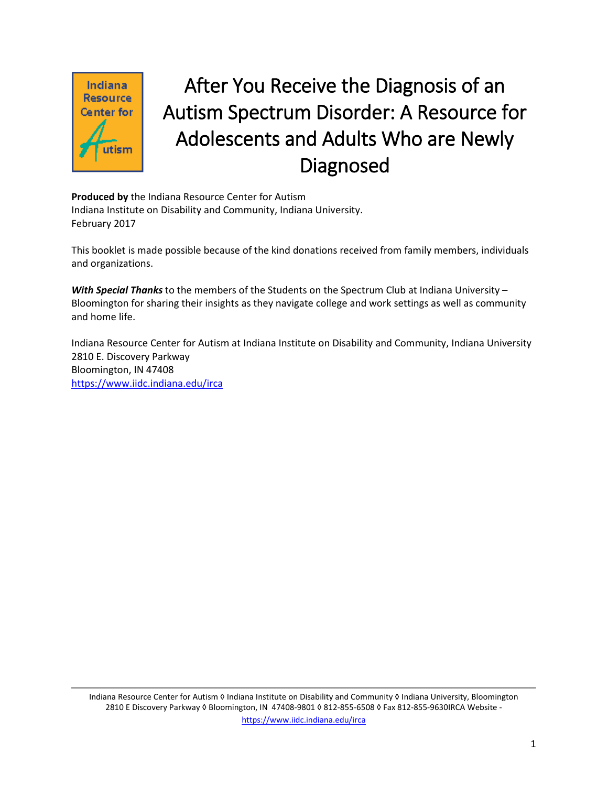

# After You Receive the Diagnosis of an Autism Spectrum Disorder: A Resource for Adolescents and Adults Who are Newly Diagnosed

**Produced by** the Indiana Resource Center for Autism Indiana Institute on Disability and Community, Indiana University. February 2017

This booklet is made possible because of the kind donations received from family members, individuals and organizations.

*With Special Thanks* to the members of the Students on the Spectrum Club at Indiana University – Bloomington for sharing their insights as they navigate college and work settings as well as community and home life.

Indiana Resource Center for Autism at Indiana Institute on Disability and Community, Indiana University 2810 E. Discovery Parkway Bloomington, IN 47408 <https://www.iidc.indiana.edu/irca>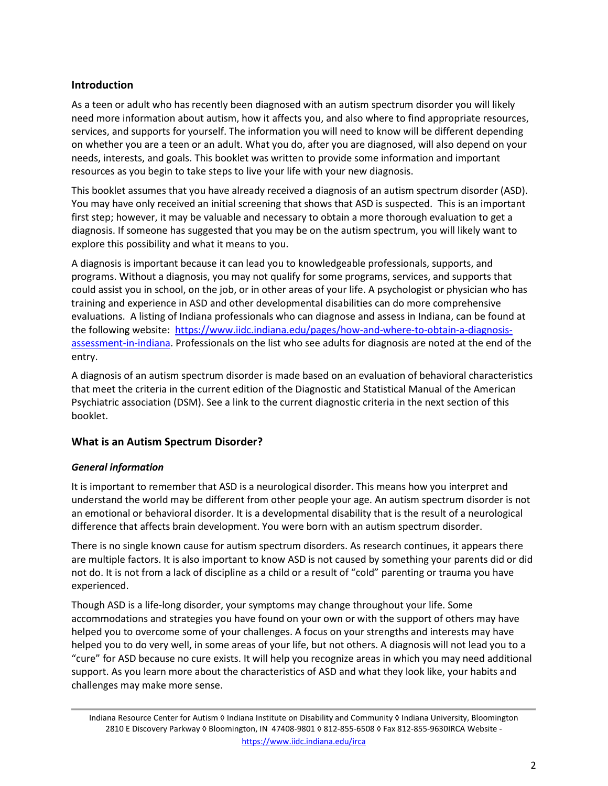# **Introduction**

As a teen or adult who has recently been diagnosed with an autism spectrum disorder you will likely need more information about autism, how it affects you, and also where to find appropriate resources, services, and supports for yourself. The information you will need to know will be different depending on whether you are a teen or an adult. What you do, after you are diagnosed, will also depend on your needs, interests, and goals. This booklet was written to provide some information and important resources as you begin to take steps to live your life with your new diagnosis.

This booklet assumes that you have already received a diagnosis of an autism spectrum disorder (ASD). You may have only received an initial screening that shows that ASD is suspected. This is an important first step; however, it may be valuable and necessary to obtain a more thorough evaluation to get a diagnosis. If someone has suggested that you may be on the autism spectrum, you will likely want to explore this possibility and what it means to you.

A diagnosis is important because it can lead you to knowledgeable professionals, supports, and programs. Without a diagnosis, you may not qualify for some programs, services, and supports that could assist you in school, on the job, or in other areas of your life. A psychologist or physician who has training and experience in ASD and other developmental disabilities can do more comprehensive evaluations. A listing of Indiana professionals who can diagnose and assess in Indiana, can be found at the following website: [https://www.iidc.indiana.edu/pages/how](https://www.iidc.indiana.edu/pages/how-and-where-to-obtain-a-diagnosis-assessment-in-indiana)-and-where-to-obtain-a-diagnosis[assessment-in-indiana](https://www.iidc.indiana.edu/pages/how-and-where-to-obtain-a-diagnosis-assessment-in-indiana). Professionals on the list who see adults for diagnosis are noted at the end of the entry.

A diagnosis of an autism spectrum disorder is made based on an evaluation of behavioral characteristics that meet the criteria in the current edition of the Diagnostic and Statistical Manual of the American Psychiatric association (DSM). See a link to the current diagnostic criteria in the next section of this booklet.

# **What is an Autism Spectrum Disorder?**

## *General information*

It is important to remember that ASD is a neurological disorder. This means how you interpret and understand the world may be different from other people your age. An autism spectrum disorder is not an emotional or behavioral disorder. It is a developmental disability that is the result of a neurological difference that affects brain development. You were born with an autism spectrum disorder.

There is no single known cause for autism spectrum disorders. As research continues, it appears there are multiple factors. It is also important to know ASD is not caused by something your parents did or did not do. It is not from a lack of discipline as a child or a result of "cold" parenting or trauma you have experienced.

Though ASD is a life-long disorder, your symptoms may change throughout your life. Some accommodations and strategies you have found on your own or with the support of others may have helped you to overcome some of your challenges. A focus on your strengths and interests may have helped you to do very well, in some areas of your life, but not others. A diagnosis will not lead you to a "cure" for ASD because no cure exists. It will help you recognize areas in which you may need additional support. As you learn more about the characteristics of ASD and what they look like, your habits and challenges may make more sense.

Indiana Resource Center for Autism ◊ Indiana Institute on Disability and Community ◊ Indiana University, Bloomington 2810 E Discovery Parkway ◊ Bloomington, IN 47408-9801 ◊ 812-855-6508 ◊ Fax 812-855-9630IRCA Website <https://www.iidc.indiana.edu/irca>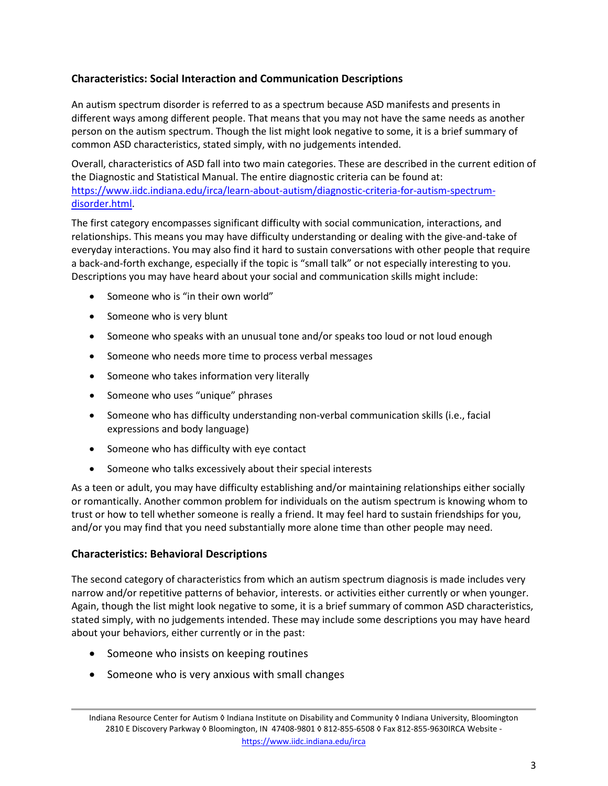# **Characteristics: Social Interaction and Communication Descriptions**

An autism spectrum disorder is referred to as a spectrum because ASD manifests and presents in different ways among different people. That means that you may not have the same needs as another person on the autism spectrum. Though the list might look negative to some, it is a brief summary of common ASD characteristics, stated simply, with no judgements intended.

Overall, characteristics of ASD fall into two main categories. These are described in the current edition of the Diagnostic and Statistical Manual. The entire diagnostic criteria can be found at: [https://www.iidc.indiana.edu/irca/learn](https://www.iidc.indiana.edu/irca/learn-about-autism/diagnostic-criteria-for-autism-spectrum-disorder.html)-about-autism/diagnostic-criteria-for-autism-spectrum[disorder.html.](https://www.iidc.indiana.edu/irca/learn-about-autism/diagnostic-criteria-for-autism-spectrum-disorder.html)

The first category encompasses significant difficulty with social communication, interactions, and relationships. This means you may have difficulty understanding or dealing with the give-and-take of everyday interactions. You may also find it hard to sustain conversations with other people that require a back-and-forth exchange, especially if the topic is "small talk" or not especially interesting to you. Descriptions you may have heard about your social and communication skills might include:

- Someone who is "in their own world"
- Someone who is very blunt
- Someone who speaks with an unusual tone and/or speaks too loud or not loud enough
- Someone who needs more time to process verbal messages
- Someone who takes information very literally
- Someone who uses "unique" phrases
- Someone who has difficulty understanding non-verbal communication skills (i.e., facial expressions and body language)
- Someone who has difficulty with eye contact
- Someone who talks excessively about their special interests

As a teen or adult, you may have difficulty establishing and/or maintaining relationships either socially or romantically. Another common problem for individuals on the autism spectrum is knowing whom to trust or how to tell whether someone is really a friend. It may feel hard to sustain friendships for you, and/or you may find that you need substantially more alone time than other people may need.

## **Characteristics: Behavioral Descriptions**

The second category of characteristics from which an autism spectrum diagnosis is made includes very narrow and/or repetitive patterns of behavior, interests. or activities either currently or when younger. Again, though the list might look negative to some, it is a brief summary of common ASD characteristics, stated simply, with no judgements intended. These may include some descriptions you may have heard about your behaviors, either currently or in the past:

- Someone who insists on keeping routines
- Someone who is very anxious with small changes

Indiana Resource Center for Autism ◊ Indiana Institute on Disability and Community ◊ Indiana University, Bloomington 2810 E Discovery Parkway ◊ Bloomington, IN 47408-9801 ◊ 812-855-6508 ◊ Fax 812-855-9630IRCA Website <https://www.iidc.indiana.edu/irca>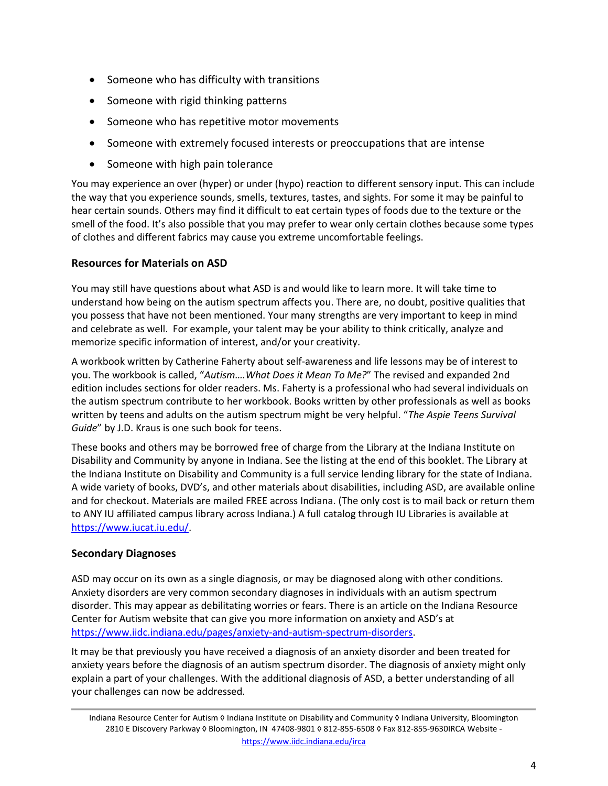- Someone who has difficulty with transitions
- Someone with rigid thinking patterns
- Someone who has repetitive motor movements
- Someone with extremely focused interests or preoccupations that are intense
- Someone with high pain tolerance

You may experience an over (hyper) or under (hypo) reaction to different sensory input. This can include the way that you experience sounds, smells, textures, tastes, and sights. For some it may be painful to hear certain sounds. Others may find it difficult to eat certain types of foods due to the texture or the smell of the food. It's also possible that you may prefer to wear only certain clothes because some types of clothes and different fabrics may cause you extreme uncomfortable feelings.

# **Resources for Materials on ASD**

You may still have questions about what ASD is and would like to learn more. It will take time to understand how being on the autism spectrum affects you. There are, no doubt, positive qualities that you possess that have not been mentioned. Your many strengths are very important to keep in mind and celebrate as well. For example, your talent may be your ability to think critically, analyze and memorize specific information of interest, and/or your creativity.

A workbook written by Catherine Faherty about self-awareness and life lessons may be of interest to you. The workbook is called, "*Autism….What Does it Mean To Me?*" The revised and expanded 2nd edition includes sections for older readers. Ms. Faherty is a professional who had several individuals on the autism spectrum contribute to her workbook. Books written by other professionals as well as books written by teens and adults on the autism spectrum might be very helpful. "*The Aspie Teens Survival Guide*" by J.D. Kraus is one such book for teens.

These books and others may be borrowed free of charge from the Library at the Indiana Institute on Disability and Community by anyone in Indiana. See the listing at the end of this booklet. The Library at the Indiana Institute on Disability and Community is a full service lending library for the state of Indiana. A wide variety of books, DVD's, and other materials about disabilities, including ASD, are available online and for checkout. Materials are mailed FREE across Indiana. (The only cost is to mail back or return them to ANY IU affiliated campus library across Indiana.) A full catalog through IU Libraries is available at [https://www.iucat.iu.edu/.](https://www.iucat.iu.edu/)

# **Secondary Diagnoses**

ASD may occur on its own as a single diagnosis, or may be diagnosed along with other conditions. Anxiety disorders are very common secondary diagnoses in individuals with an autism spectrum disorder. This may appear as debilitating worries or fears. There is an article on the Indiana Resource Center for Autism website that can give you more information on anxiety and ASD's at [https://www.iidc.indiana.edu/pages/anxiety](https://www.iidc.indiana.edu/pages/anxiety-and-autism-spectrum-disorders)-and-autism-spectrum-disorders.

It may be that previously you have received a diagnosis of an anxiety disorder and been treated for anxiety years before the diagnosis of an autism spectrum disorder. The diagnosis of anxiety might only explain a part of your challenges. With the additional diagnosis of ASD, a better understanding of all your challenges can now be addressed.

Indiana Resource Center for Autism ◊ Indiana Institute on Disability and Community ◊ Indiana University, Bloomington 2810 E Discovery Parkway ◊ Bloomington, IN 47408-9801 ◊ 812-855-6508 ◊ Fax 812-855-9630IRCA Website <https://www.iidc.indiana.edu/irca>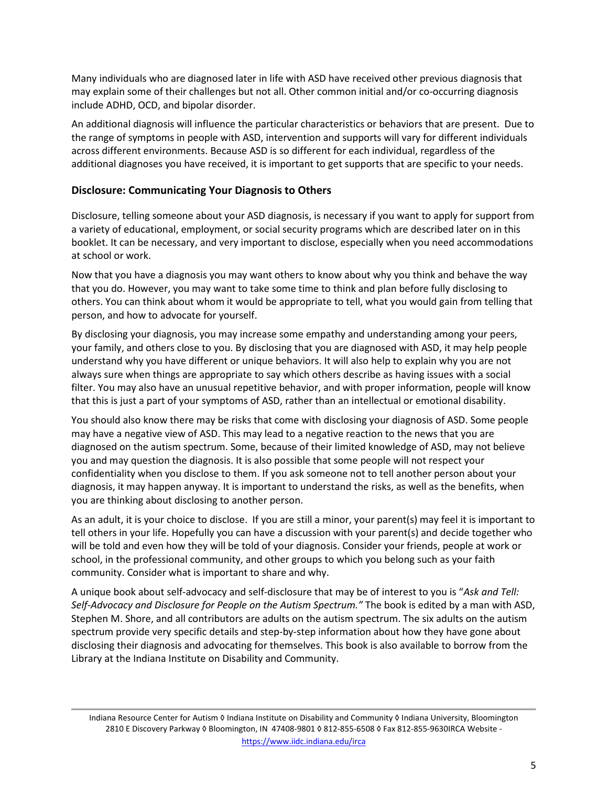Many individuals who are diagnosed later in life with ASD have received other previous diagnosis that may explain some of their challenges but not all. Other common initial and/or co-occurring diagnosis include ADHD, OCD, and bipolar disorder.

An additional diagnosis will influence the particular characteristics or behaviors that are present. Due to the range of symptoms in people with ASD, intervention and supports will vary for different individuals across different environments. Because ASD is so different for each individual, regardless of the additional diagnoses you have received, it is important to get supports that are specific to your needs.

#### **Disclosure: Communicating Your Diagnosis to Others**

Disclosure, telling someone about your ASD diagnosis, is necessary if you want to apply for support from a variety of educational, employment, or social security programs which are described later on in this booklet. It can be necessary, and very important to disclose, especially when you need accommodations at school or work.

Now that you have a diagnosis you may want others to know about why you think and behave the way that you do. However, you may want to take some time to think and plan before fully disclosing to others. You can think about whom it would be appropriate to tell, what you would gain from telling that person, and how to advocate for yourself.

By disclosing your diagnosis, you may increase some empathy and understanding among your peers, your family, and others close to you. By disclosing that you are diagnosed with ASD, it may help people understand why you have different or unique behaviors. It will also help to explain why you are not always sure when things are appropriate to say which others describe as having issues with a social filter. You may also have an unusual repetitive behavior, and with proper information, people will know that this is just a part of your symptoms of ASD, rather than an intellectual or emotional disability.

You should also know there may be risks that come with disclosing your diagnosis of ASD. Some people may have a negative view of ASD. This may lead to a negative reaction to the news that you are diagnosed on the autism spectrum. Some, because of their limited knowledge of ASD, may not believe you and may question the diagnosis. It is also possible that some people will not respect your confidentiality when you disclose to them. If you ask someone not to tell another person about your diagnosis, it may happen anyway. It is important to understand the risks, as well as the benefits, when you are thinking about disclosing to another person.

As an adult, it is your choice to disclose. If you are still a minor, your parent(s) may feel it is important to tell others in your life. Hopefully you can have a discussion with your parent(s) and decide together who will be told and even how they will be told of your diagnosis. Consider your friends, people at work or school, in the professional community, and other groups to which you belong such as your faith community. Consider what is important to share and why.

A unique book about self-advocacy and self-disclosure that may be of interest to you is "*Ask and Tell: Self-Advocacy and Disclosure for People on the Autism Spectrum."* The book is edited by a man with ASD, Stephen M. Shore, and all contributors are adults on the autism spectrum. The six adults on the autism spectrum provide very specific details and step-by-step information about how they have gone about disclosing their diagnosis and advocating for themselves. This book is also available to borrow from the Library at the Indiana Institute on Disability and Community.

Indiana Resource Center for Autism ◊ Indiana Institute on Disability and Community ◊ Indiana University, Bloomington 2810 E Discovery Parkway ◊ Bloomington, IN 47408-9801 ◊ 812-855-6508 ◊ Fax 812-855-9630IRCA Website <https://www.iidc.indiana.edu/irca>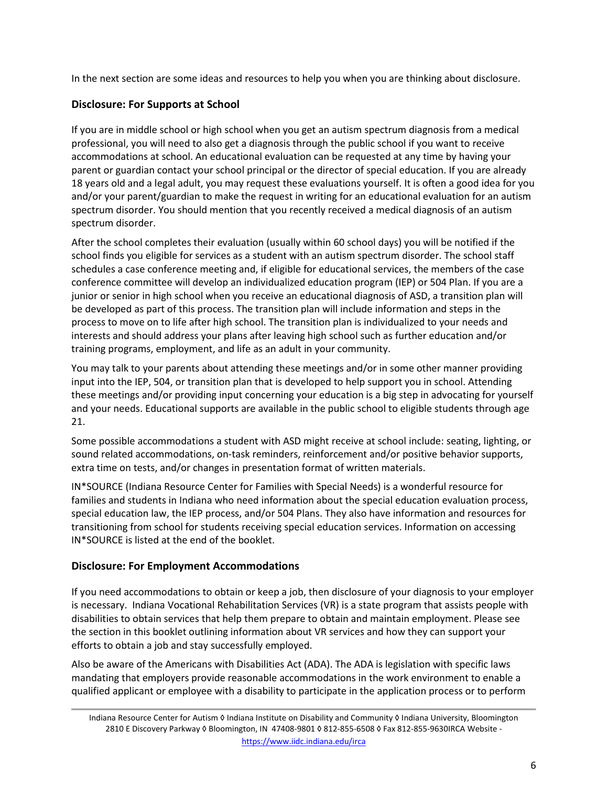In the next section are some ideas and resources to help you when you are thinking about disclosure.

# **Disclosure: For Supports at School**

If you are in middle school or high school when you get an autism spectrum diagnosis from a medical professional, you will need to also get a diagnosis through the public school if you want to receive accommodations at school. An educational evaluation can be requested at any time by having your parent or guardian contact your school principal or the director of special education. If you are already 18 years old and a legal adult, you may request these evaluations yourself. It is often a good idea for you and/or your parent/guardian to make the request in writing for an educational evaluation for an autism spectrum disorder. You should mention that you recently received a medical diagnosis of an autism spectrum disorder.

After the school completes their evaluation (usually within 60 school days) you will be notified if the school finds you eligible for services as a student with an autism spectrum disorder. The school staff schedules a case conference meeting and, if eligible for educational services, the members of the case conference committee will develop an individualized education program (IEP) or 504 Plan. If you are a junior or senior in high school when you receive an educational diagnosis of ASD, a transition plan will be developed as part of this process. The transition plan will include information and steps in the process to move on to life after high school. The transition plan is individualized to your needs and interests and should address your plans after leaving high school such as further education and/or training programs, employment, and life as an adult in your community.

You may talk to your parents about attending these meetings and/or in some other manner providing input into the IEP, 504, or transition plan that is developed to help support you in school. Attending these meetings and/or providing input concerning your education is a big step in advocating for yourself and your needs. Educational supports are available in the public school to eligible students through age 21.

Some possible accommodations a student with ASD might receive at school include: seating, lighting, or sound related accommodations, on-task reminders, reinforcement and/or positive behavior supports, extra time on tests, and/or changes in presentation format of written materials.

IN\*SOURCE (Indiana Resource Center for Families with Special Needs) is a wonderful resource for families and students in Indiana who need information about the special education evaluation process, special education law, the IEP process, and/or 504 Plans. They also have information and resources for transitioning from school for students receiving special education services. Information on accessing IN\*SOURCE is listed at the end of the booklet.

# **Disclosure: For Employment Accommodations**

If you need accommodations to obtain or keep a job, then disclosure of your diagnosis to your employer is necessary. Indiana Vocational Rehabilitation Services (VR) is a state program that assists people with disabilities to obtain services that help them prepare to obtain and maintain employment. Please see the section in this booklet outlining information about VR services and how they can support your efforts to obtain a job and stay successfully employed.

Also be aware of the Americans with Disabilities Act (ADA). The ADA is legislation with specific laws mandating that employers provide reasonable accommodations in the work environment to enable a qualified applicant or employee with a disability to participate in the application process or to perform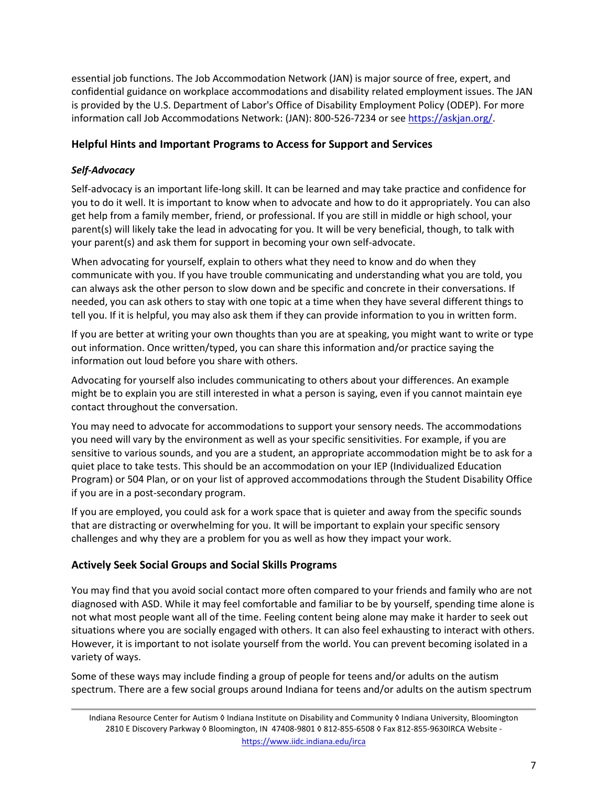essential job functions. The Job Accommodation Network (JAN) is major source of free, expert, and confidential guidance on workplace accommodations and disability related employment issues. The JAN is provided by the U.S. Department of Labor's Office of Disability Employment Policy (ODEP). For more information call Job Accommodations Network: (JAN): 800-526-7234 or see [https://askjan.org/.](https://askjan.org/)

# **Helpful Hints and Important Programs to Access for Support and Services**

## *Self-Advocacy*

Self-advocacy is an important life-long skill. It can be learned and may take practice and confidence for you to do it well. It is important to know when to advocate and how to do it appropriately. You can also get help from a family member, friend, or professional. If you are still in middle or high school, your parent(s) will likely take the lead in advocating for you. It will be very beneficial, though, to talk with your parent(s) and ask them for support in becoming your own self-advocate.

When advocating for yourself, explain to others what they need to know and do when they communicate with you. If you have trouble communicating and understanding what you are told, you can always ask the other person to slow down and be specific and concrete in their conversations. If needed, you can ask others to stay with one topic at a time when they have several different things to tell you. If it is helpful, you may also ask them if they can provide information to you in written form.

If you are better at writing your own thoughts than you are at speaking, you might want to write or type out information. Once written/typed, you can share this information and/or practice saying the information out loud before you share with others.

Advocating for yourself also includes communicating to others about your differences. An example might be to explain you are still interested in what a person is saying, even if you cannot maintain eye contact throughout the conversation.

You may need to advocate for accommodations to support your sensory needs. The accommodations you need will vary by the environment as well as your specific sensitivities. For example, if you are sensitive to various sounds, and you are a student, an appropriate accommodation might be to ask for a quiet place to take tests. This should be an accommodation on your IEP (Individualized Education Program) or 504 Plan, or on your list of approved accommodations through the Student Disability Office if you are in a post-secondary program.

If you are employed, you could ask for a work space that is quieter and away from the specific sounds that are distracting or overwhelming for you. It will be important to explain your specific sensory challenges and why they are a problem for you as well as how they impact your work.

## **Actively Seek Social Groups and Social Skills Programs**

You may find that you avoid social contact more often compared to your friends and family who are not diagnosed with ASD. While it may feel comfortable and familiar to be by yourself, spending time alone is not what most people want all of the time. Feeling content being alone may make it harder to seek out situations where you are socially engaged with others. It can also feel exhausting to interact with others. However, it is important to not isolate yourself from the world. You can prevent becoming isolated in a variety of ways.

Some of these ways may include finding a group of people for teens and/or adults on the autism spectrum. There are a few social groups around Indiana for teens and/or adults on the autism spectrum

Indiana Resource Center for Autism ◊ Indiana Institute on Disability and Community ◊ Indiana University, Bloomington 2810 E Discovery Parkway ◊ Bloomington, IN 47408-9801 ◊ 812-855-6508 ◊ Fax 812-855-9630IRCA Website <https://www.iidc.indiana.edu/irca>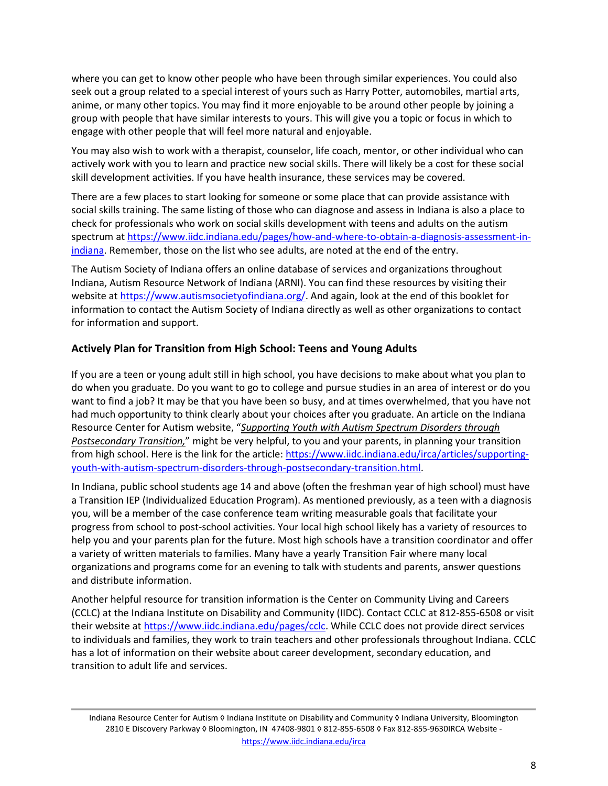where you can get to know other people who have been through similar experiences. You could also seek out a group related to a special interest of yours such as Harry Potter, automobiles, martial arts, anime, or many other topics. You may find it more enjoyable to be around other people by joining a group with people that have similar interests to yours. This will give you a topic or focus in which to engage with other people that will feel more natural and enjoyable.

You may also wish to work with a therapist, counselor, life coach, mentor, or other individual who can actively work with you to learn and practice new social skills. There will likely be a cost for these social skill development activities. If you have health insurance, these services may be covered.

There are a few places to start looking for someone or some place that can provide assistance with social skills training. The same listing of those who can diagnose and assess in Indiana is also a place to check for professionals who work on social skills development with teens and adults on the autism spectrum at [https://www.iidc.indiana.edu/pages/how](https://www.iidc.indiana.edu/pages/how-and-where-to-obtain-a-diagnosis-assessment-in-indiana)-and-where-to-obtain-a-diagnosis-assessment-in[indiana](https://www.iidc.indiana.edu/pages/how-and-where-to-obtain-a-diagnosis-assessment-in-indiana). Remember, those on the list who see adults, are noted at the end of the entry.

The Autism Society of Indiana offers an online database of services and organizations throughout Indiana, Autism Resource Network of Indiana (ARNI). You can find these resources by visiting their website at [https://www.autismsocietyofindiana.org/.](https://www.autismsocietyofindiana.org/) And again, look at the end of this booklet for information to contact the Autism Society of Indiana directly as well as other organizations to contact for information and support.

## **Actively Plan for Transition from High School: Teens and Young Adults**

If you are a teen or young adult still in high school, you have decisions to make about what you plan to do when you graduate. Do you want to go to college and pursue studies in an area of interest or do you want to find a job? It may be that you have been so busy, and at times overwhelmed, that you have not had much opportunity to think clearly about your choices after you graduate. An article on the Indiana Resource Center for Autism website, "*Supporting Youth with Autism Spectrum Disorders through Postsecondary Transition,*" might be very helpful, to you and your parents, in planning your transition from high school. Here is the link for the article[: https://www.iidc.indiana.edu/irca/articles/supporting](https://www.iidc.indiana.edu/irca/articles/supporting-youth-with-autism-spectrum-disorders-through-postsecondary-transition.html)youth-with[-autism-spectrum-disorders-](https://www.iidc.indiana.edu/irca/articles/supporting-youth-with-autism-spectrum-disorders-through-postsecondary-transition.html)through-postsecondary-transition.html.

In Indiana, public school students age 14 and above (often the freshman year of high school) must have a Transition IEP (Individualized Education Program). As mentioned previously, as a teen with a diagnosis you, will be a member of the case conference team writing measurable goals that facilitate your progress from school to post-school activities. Your local high school likely has a variety of resources to help you and your parents plan for the future. Most high schools have a transition coordinator and offer a variety of written materials to families. Many have a yearly Transition Fair where many local organizations and programs come for an evening to talk with students and parents, answer questions and distribute information.

Another helpful resource for transition information is the Center on Community Living and Careers (CCLC) at the Indiana Institute on Disability and Community (IIDC). Contact CCLC at 812-855-6508 or visit their website at [https://www.iidc.indiana.edu/pages/cclc.](https://www.iidc.indiana.edu/pages/cclc) While CCLC does not provide direct services to individuals and families, they work to train teachers and other professionals throughout Indiana. CCLC has a lot of information on their website about career development, secondary education, and transition to adult life and services.

Indiana Resource Center for Autism ◊ Indiana Institute on Disability and Community ◊ Indiana University, Bloomington 2810 E Discovery Parkway ◊ Bloomington, IN 47408-9801 ◊ 812-855-6508 ◊ Fax 812-855-9630IRCA Website <https://www.iidc.indiana.edu/irca>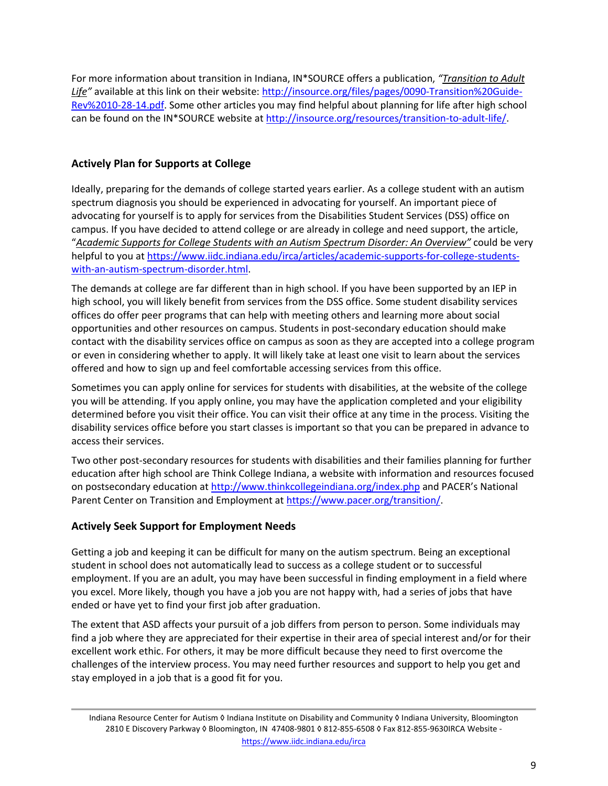For more information about transition in Indiana, IN\*SOURCE offers a publication, *"Transition to Adult Life"* available at this link on their website: [http://insource.org/files/pages/0090](http://insource.org/files/pages/0090-Transition%20Guide-Rev%2010-28-14.pdf)-Transition%20Guide-[Rev%2010](http://insource.org/files/pages/0090-Transition%20Guide-Rev%2010-28-14.pdf)-28-14.pdf. Some other articles you may find helpful about planning for life after high school can be found on the IN\*SOURCE website at [http://insource.org/resources/transition](http://insource.org/resources/transition-to-adult-life/)-to-adult-life/.

# **Actively Plan for Supports at College**

Ideally, preparing for the demands of college started years earlier. As a college student with an autism spectrum diagnosis you should be experienced in advocating for yourself. An important piece of advocating for yourself is to apply for services from the Disabilities Student Services (DSS) office on campus. If you have decided to attend college or are already in college and need support, the article, "*Academic Supports for College Students with an Autism Spectrum Disorder: An Overview"* could be very helpful to you at [https://www.iidc.indiana.edu/irca/articles/academic](https://www.iidc.indiana.edu/irca/articles/academic-supports-for-college-students-with-an-autism-spectrum-disorder.html)-supports-for-college-studentswith[-an-autism-spectrum-](https://www.iidc.indiana.edu/irca/articles/academic-supports-for-college-students-with-an-autism-spectrum-disorder.html)disorder.html.

The demands at college are far different than in high school. If you have been supported by an IEP in high school, you will likely benefit from services from the DSS office. Some student disability services offices do offer peer programs that can help with meeting others and learning more about social opportunities and other resources on campus. Students in post-secondary education should make contact with the disability services office on campus as soon as they are accepted into a college program or even in considering whether to apply. It will likely take at least one visit to learn about the services offered and how to sign up and feel comfortable accessing services from this office.

Sometimes you can apply online for services for students with disabilities, at the website of the college you will be attending. If you apply online, you may have the application completed and your eligibility determined before you visit their office. You can visit their office at any time in the process. Visiting the disability services office before you start classes is important so that you can be prepared in advance to access their services.

Two other post-secondary resources for students with disabilities and their families planning for further education after high school are Think College Indiana, a website with information and resources focused on postsecondary education at <http://www.thinkcollegeindiana.org/index.php> and PACER's National Parent Center on Transition and Employment a[t https://www.pacer.org/transition/.](https://www.pacer.org/transition/)

# **Actively Seek Support for Employment Needs**

Getting a job and keeping it can be difficult for many on the autism spectrum. Being an exceptional student in school does not automatically lead to success as a college student or to successful employment. If you are an adult, you may have been successful in finding employment in a field where you excel. More likely, though you have a job you are not happy with, had a series of jobs that have ended or have yet to find your first job after graduation.

The extent that ASD affects your pursuit of a job differs from person to person. Some individuals may find a job where they are appreciated for their expertise in their area of special interest and/or for their excellent work ethic. For others, it may be more difficult because they need to first overcome the challenges of the interview process. You may need further resources and support to help you get and stay employed in a job that is a good fit for you.

Indiana Resource Center for Autism ◊ Indiana Institute on Disability and Community ◊ Indiana University, Bloomington 2810 E Discovery Parkway ◊ Bloomington, IN 47408-9801 ◊ 812-855-6508 ◊ Fax 812-855-9630IRCA Website <https://www.iidc.indiana.edu/irca>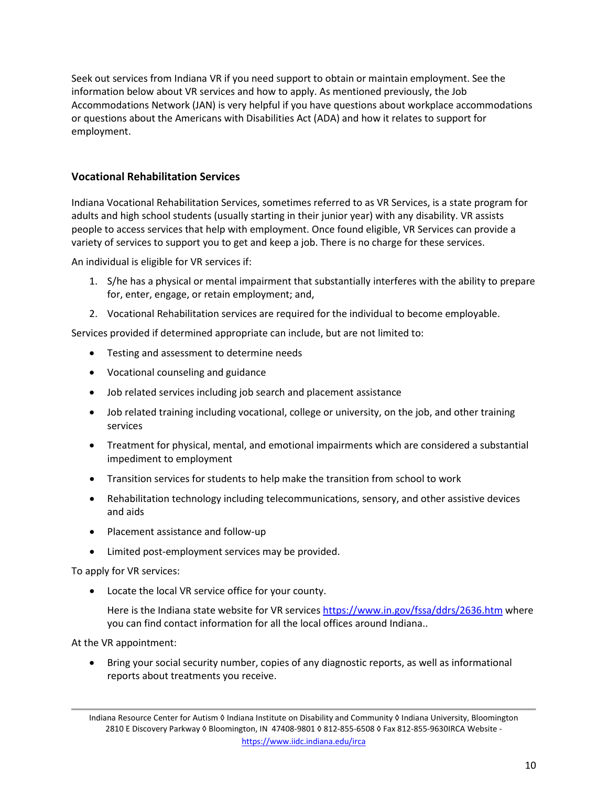Seek out services from Indiana VR if you need support to obtain or maintain employment. See the information below about VR services and how to apply. As mentioned previously, the Job Accommodations Network (JAN) is very helpful if you have questions about workplace accommodations or questions about the Americans with Disabilities Act (ADA) and how it relates to support for employment.

## **Vocational Rehabilitation Services**

Indiana Vocational Rehabilitation Services, sometimes referred to as VR Services, is a state program for adults and high school students (usually starting in their junior year) with any disability. VR assists people to access services that help with employment. Once found eligible, VR Services can provide a variety of services to support you to get and keep a job. There is no charge for these services.

An individual is eligible for VR services if:

- 1. S/he has a physical or mental impairment that substantially interferes with the ability to prepare for, enter, engage, or retain employment; and,
- 2. Vocational Rehabilitation services are required for the individual to become employable.

Services provided if determined appropriate can include, but are not limited to:

- Testing and assessment to determine needs
- Vocational counseling and guidance
- Job related services including job search and placement assistance
- Job related training including vocational, college or university, on the job, and other training services
- Treatment for physical, mental, and emotional impairments which are considered a substantial impediment to employment
- Transition services for students to help make the transition from school to work
- Rehabilitation technology including telecommunications, sensory, and other assistive devices and aids
- Placement assistance and follow-up
- Limited post-employment services may be provided.

To apply for VR services:

• Locate the local VR service office for your county.

Here is the Indiana state website for VR services <https://www.in.gov/fssa/ddrs/2636.htm> where you can find contact information for all the local offices around Indiana..

At the VR appointment:

• Bring your social security number, copies of any diagnostic reports, as well as informational reports about treatments you receive.

Indiana Resource Center for Autism ◊ Indiana Institute on Disability and Community ◊ Indiana University, Bloomington 2810 E Discovery Parkway ◊ Bloomington, IN 47408-9801 ◊ 812-855-6508 ◊ Fax 812-855-9630IRCA Website <https://www.iidc.indiana.edu/irca>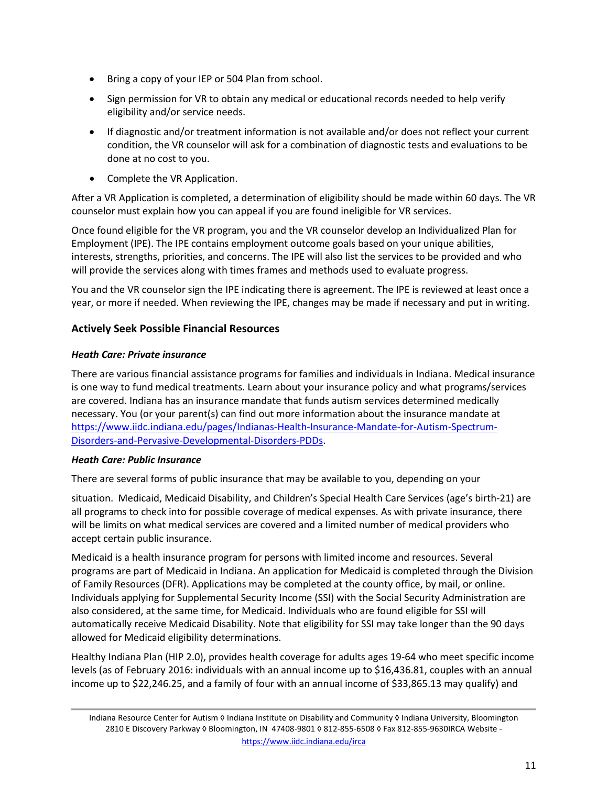- Bring a copy of your IEP or 504 Plan from school.
- Sign permission for VR to obtain any medical or educational records needed to help verify eligibility and/or service needs.
- If diagnostic and/or treatment information is not available and/or does not reflect your current condition, the VR counselor will ask for a combination of diagnostic tests and evaluations to be done at no cost to you.
- Complete the VR Application.

After a VR Application is completed, a determination of eligibility should be made within 60 days. The VR counselor must explain how you can appeal if you are found ineligible for VR services.

Once found eligible for the VR program, you and the VR counselor develop an Individualized Plan for Employment (IPE). The IPE contains employment outcome goals based on your unique abilities, interests, strengths, priorities, and concerns. The IPE will also list the services to be provided and who will provide the services along with times frames and methods used to evaluate progress.

You and the VR counselor sign the IPE indicating there is agreement. The IPE is reviewed at least once a year, or more if needed. When reviewing the IPE, changes may be made if necessary and put in writing.

## **Actively Seek Possible Financial Resources**

## *Heath Care: Private insurance*

There are various financial assistance programs for families and individuals in Indiana. Medical insurance is one way to fund medical treatments. Learn about your insurance policy and what programs/services are covered. Indiana has an insurance mandate that funds autism services determined medically necessary. You (or your parent(s) can find out more information about the insurance mandate at [https://www.iidc.indiana.edu/pages/Indianas](https://www.iidc.indiana.edu/pages/Indianas-Health-Insurance-Mandate-for-Autism-Spectrum-Disorders-and-Pervasive-Developmental-Disorders-PDDs)-Health-Insurance-Mandate-for-Autism-Spectrum-Disorders-and-Pervasive-[Developmental](https://www.iidc.indiana.edu/pages/Indianas-Health-Insurance-Mandate-for-Autism-Spectrum-Disorders-and-Pervasive-Developmental-Disorders-PDDs)-Disorders-PDDs.

## *Heath Care: Public Insurance*

There are several forms of public insurance that may be available to you, depending on your

situation. Medicaid, Medicaid Disability, and Children's Special Health Care Services (age's birth-21) are all programs to check into for possible coverage of medical expenses. As with private insurance, there will be limits on what medical services are covered and a limited number of medical providers who accept certain public insurance.

Medicaid is a health insurance program for persons with limited income and resources. Several programs are part of Medicaid in Indiana. An application for Medicaid is completed through the Division of Family Resources (DFR). Applications may be completed at the county office, by mail, or online. Individuals applying for Supplemental Security Income (SSI) with the Social Security Administration are also considered, at the same time, for Medicaid. Individuals who are found eligible for SSI will automatically receive Medicaid Disability. Note that eligibility for SSI may take longer than the 90 days allowed for Medicaid eligibility determinations.

Healthy Indiana Plan (HIP 2.0), provides health coverage for adults ages 19-64 who meet specific income levels (as of February 2016: individuals with an annual income up to \$16,436.81, couples with an annual income up to \$22,246.25, and a family of four with an annual income of \$33,865.13 may qualify) and

Indiana Resource Center for Autism ◊ Indiana Institute on Disability and Community ◊ Indiana University, Bloomington 2810 E Discovery Parkway ◊ Bloomington, IN 47408-9801 ◊ 812-855-6508 ◊ Fax 812-855-9630IRCA Website <https://www.iidc.indiana.edu/irca>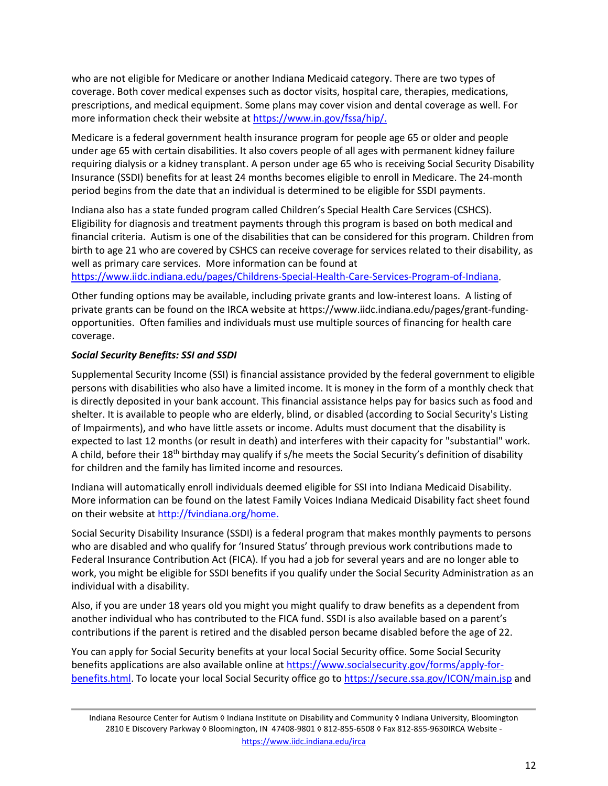who are not eligible for Medicare or another Indiana Medicaid category. There are two types of coverage. Both cover medical expenses such as doctor visits, hospital care, therapies, medications, prescriptions, and medical equipment. Some plans may cover vision and dental coverage as well. For more information check their website at [https://www.in.gov/fssa/hip/.](https://www.in.gov/fssa/hip/)

Medicare is a federal government health insurance program for people age 65 or older and people under age 65 with certain disabilities. It also covers people of all ages with permanent kidney failure requiring dialysis or a kidney transplant. A person under age 65 who is receiving Social Security Disability Insurance (SSDI) benefits for at least 24 months becomes eligible to enroll in Medicare. The 24-month period begins from the date that an individual is determined to be eligible for SSDI payments.

Indiana also has a state funded program called Children's Special Health Care Services (CSHCS). Eligibility for diagnosis and treatment payments through this program is based on both medical and financial criteria. Autism is one of the disabilities that can be considered for this program. Children from birth to age 21 who are covered by CSHCS can receive coverage for services related to their disability, as well as primary care services. More information can be found at

[https://www.iidc.indiana.edu/pages/Childrens](https://www.iidc.indiana.edu/pages/Childrens-Special-Health-Care-Services-Program-of-Indiana)-Special-Health-Care-Services-Program-of-Indiana.

Other funding options may be available, including private grants and low-interest loans. A listing of private grants can be found on the IRCA website at https://www.iidc.indiana.edu/pages/grant-fundingopportunities. Often families and individuals must use multiple sources of financing for health care coverage.

## *Social Security Benefits: SSI and SSDI*

Supplemental Security Income (SSI) is financial assistance provided by the federal government to eligible persons with disabilities who also have a limited income. It is money in the form of a monthly check that is directly deposited in your bank account. This financial assistance helps pay for basics such as food and shelter. It is available to people who are elderly, blind, or disabled (according to Social Security's Listing of Impairments), and who have little assets or income. Adults must document that the disability is expected to last 12 months (or result in death) and interferes with their capacity for "substantial" work. A child, before their 18th birthday may qualify if s/he meets the Social Security's definition of disability for children and the family has limited income and resources.

Indiana will automatically enroll individuals deemed eligible for SSI into Indiana Medicaid Disability. More information can be found on the latest Family Voices Indiana Medicaid Disability fact sheet found on their website at [http://fvindiana.org/home.](http://fvindiana.org/home)

Social Security Disability Insurance (SSDI) is a federal program that makes monthly payments to persons who are disabled and who qualify for 'Insured Status' through previous work contributions made to Federal Insurance Contribution Act (FICA). If you had a job for several years and are no longer able to work, you might be eligible for SSDI benefits if you qualify under the Social Security Administration as an individual with a disability.

Also, if you are under 18 years old you might you might qualify to draw benefits as a dependent from another individual who has contributed to the FICA fund. SSDI is also available based on a parent's contributions if the parent is retired and the disabled person became disabled before the age of 22.

You can apply for Social Security benefits at your local Social Security office. Some Social Security benefits applications are also available online at [https://www.socialsecurity.gov/forms/apply](https://www.socialsecurity.gov/forms/apply-for-benefits.html)-for[benefits.html.](https://www.socialsecurity.gov/forms/apply-for-benefits.html) To locate your local Social Security office go to <https://secure.ssa.gov/ICON/main.jsp> and

Indiana Resource Center for Autism ◊ Indiana Institute on Disability and Community ◊ Indiana University, Bloomington 2810 E Discovery Parkway ◊ Bloomington, IN 47408-9801 ◊ 812-855-6508 ◊ Fax 812-855-9630IRCA Website <https://www.iidc.indiana.edu/irca>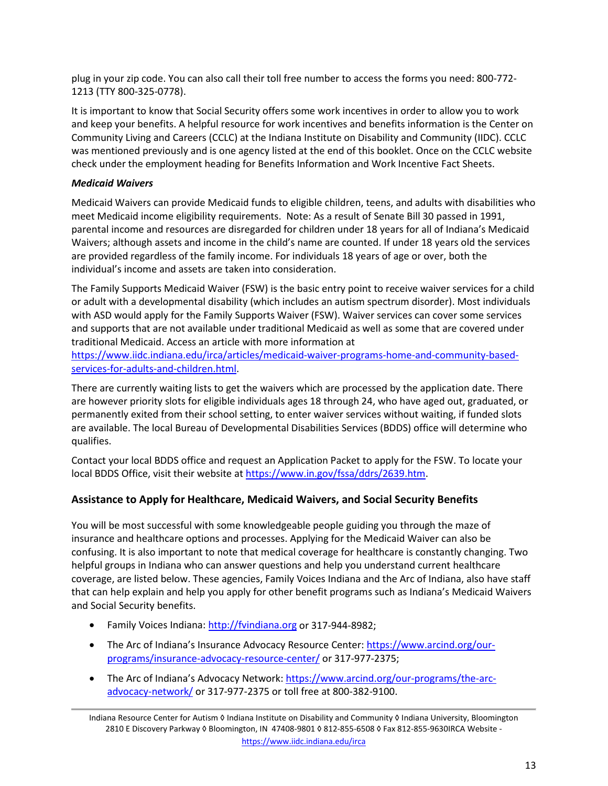plug in your zip code. You can also call their toll free number to access the forms you need: 800-772- 1213 (TTY 800-325-0778).

It is important to know that Social Security offers some work incentives in order to allow you to work and keep your benefits. A helpful resource for work incentives and benefits information is the Center on Community Living and Careers (CCLC) at the Indiana Institute on Disability and Community (IIDC). CCLC was mentioned previously and is one agency listed at the end of this booklet. Once on the CCLC website check under the employment heading for Benefits Information and Work Incentive Fact Sheets.

## *Medicaid Waivers*

Medicaid Waivers can provide Medicaid funds to eligible children, teens, and adults with disabilities who meet Medicaid income eligibility requirements. Note: As a result of Senate Bill 30 passed in 1991, parental income and resources are disregarded for children under 18 years for all of Indiana's Medicaid Waivers; although assets and income in the child's name are counted. If under 18 years old the services are provided regardless of the family income. For individuals 18 years of age or over, both the individual's income and assets are taken into consideration.

The Family Supports Medicaid Waiver (FSW) is the basic entry point to receive waiver services for a child or adult with a developmental disability (which includes an autism spectrum disorder). Most individuals with ASD would apply for the Family Supports Waiver (FSW). Waiver services can cover some services and supports that are not available under traditional Medicaid as well as some that are covered under traditional Medicaid. Access an article with more information at

[https://www.iidc.indiana.edu/irca/articles/medicaid](https://www.iidc.indiana.edu/irca/articles/medicaid-waiver-programs-home-and-community-based-services-for-adults-and-children.html)-waiver-programs-home-and-community-basedservices-for-adults-and-[children.html.](https://www.iidc.indiana.edu/irca/articles/medicaid-waiver-programs-home-and-community-based-services-for-adults-and-children.html)

There are currently waiting lists to get the waivers which are processed by the application date. There are however priority slots for eligible individuals ages 18 through 24, who have aged out, graduated, or permanently exited from their school setting, to enter waiver services without waiting, if funded slots are available. The local Bureau of Developmental Disabilities Services (BDDS) office will determine who qualifies.

Contact your local BDDS office and request an Application Packet to apply for the FSW. To locate your local BDDS Office, visit their website a[t https://www.in.gov/fssa/ddrs/2639.htm.](https://www.in.gov/fssa/ddrs/2639.htm)

## **Assistance to Apply for Healthcare, Medicaid Waivers, and Social Security Benefits**

You will be most successful with some knowledgeable people guiding you through the maze of insurance and healthcare options and processes. Applying for the Medicaid Waiver can also be confusing. It is also important to note that medical coverage for healthcare is constantly changing. Two helpful groups in Indiana who can answer questions and help you understand current healthcare coverage, are listed below. These agencies, Family Voices Indiana and the Arc of Indiana, also have staff that can help explain and help you apply for other benefit programs such as Indiana's Medicaid Waivers and Social Security benefits.

- Family Voices Indiana: [http://fvindiana.org](http://fvindiana.org/) or 317-944-8982;
- The Arc of Indiana's Insurance Advocacy Resource Center: [https://www.arcind.org/our](https://www.arcind.org/our-programs/insurance-advocacy-resource-center/)[programs/insurance](https://www.arcind.org/our-programs/insurance-advocacy-resource-center/)-advocacy-resource-center/ or 317-977-2375;
- The Arc of Indiana's Advocacy Network: [https://www.arcind.org/our](https://www.arcind.org/our-programs/the-arc-advocacy-network/)-programs/the-arcadvocacy-[network/](https://www.arcind.org/our-programs/the-arc-advocacy-network/) or 317-977-2375 or toll free at 800-382-9100.

Indiana Resource Center for Autism ◊ Indiana Institute on Disability and Community ◊ Indiana University, Bloomington 2810 E Discovery Parkway ◊ Bloomington, IN 47408-9801 ◊ 812-855-6508 ◊ Fax 812-855-9630IRCA Website <https://www.iidc.indiana.edu/irca>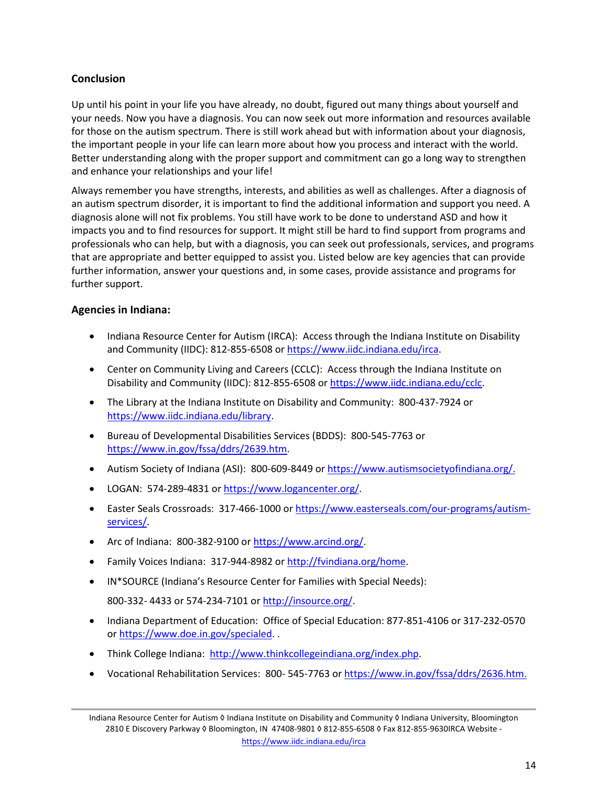# **Conclusion**

Up until his point in your life you have already, no doubt, figured out many things about yourself and your needs. Now you have a diagnosis. You can now seek out more information and resources available for those on the autism spectrum. There is still work ahead but with information about your diagnosis, the important people in your life can learn more about how you process and interact with the world. Better understanding along with the proper support and commitment can go a long way to strengthen and enhance your relationships and your life!

Always remember you have strengths, interests, and abilities as well as challenges. After a diagnosis of an autism spectrum disorder, it is important to find the additional information and support you need. A diagnosis alone will not fix problems. You still have work to be done to understand ASD and how it impacts you and to find resources for support. It might still be hard to find support from programs and professionals who can help, but with a diagnosis, you can seek out professionals, services, and programs that are appropriate and better equipped to assist you. Listed below are key agencies that can provide further information, answer your questions and, in some cases, provide assistance and programs for further support.

## **Agencies in Indiana:**

- Indiana Resource Center for Autism (IRCA): Access through the Indiana Institute on Disability and Community (IIDC): 812-855-6508 or [https://www.iidc.indiana.edu/irca.](https://www.iidc.indiana.edu/irca)
- Center on Community Living and Careers (CCLC): Access through the Indiana Institute on Disability and Community (IIDC): 812-855-6508 or [https://www.iidc.indiana.edu/cclc.](https://www.iidc.indiana.edu/cclc)
- The Library at the Indiana Institute on Disability and Community: 800-437-7924 or [https://www.iidc.indiana.edu/library.](https://www.iidc.indiana.edu/library)
- Bureau of Developmental Disabilities Services (BDDS): 800-545-7763 or [https://www.in.gov/fssa/ddrs/2639.htm.](https://www.in.gov/fssa/ddrs/2639.htm)
- Autism Society of Indiana (ASI): 800-609-8449 or [https://www.autismsocietyofindiana.org/.](https://www.autismsocietyofindiana.org/)
- LOGAN: 574-289-4831 or h[ttps://www.logancenter.org/.](https://www.logancenter.org/)
- Easter Seals Crossroads: 317-466-1000 or [https://www.easterseals.com/our](https://www.easterseals.com/our-programs/autism-services/)-programs/autism[services/.](https://www.easterseals.com/our-programs/autism-services/)
- Arc of Indiana: 800-382-9100 or [https://www.arcind.org/.](https://www.arcind.org/)
- Family Voices Indiana: 317-944-8982 or [http://fvindiana.org/home.](http://fvindiana.org/home)
- IN\*SOURCE (Indiana's Resource Center for Families with Special Needs):

800-332- 4433 or 574-234-7101 o[r http://insource.org/.](http://insource.org/)

- Indiana Department of Education: Office of Special Education: 877-851-4106 or 317-232-0570 or [https://www.doe.in.gov/specialed.](https://www.doe.in.gov/specialed) .
- Think College Indiana: [http://www.thinkcollegeindiana.org/index.php.](http://www.thinkcollegeindiana.org/index.php)
- Vocational Rehabilitation Services: 800- 545-7763 or [https://www.in.gov/fssa/ddrs/2636.htm.](https://www.in.gov/fssa/ddrs/2636.htm)

Indiana Resource Center for Autism ◊ Indiana Institute on Disability and Community ◊ Indiana University, Bloomington 2810 E Discovery Parkway ◊ Bloomington, IN 47408-9801 ◊ 812-855-6508 ◊ Fax 812-855-9630IRCA Website <https://www.iidc.indiana.edu/irca>